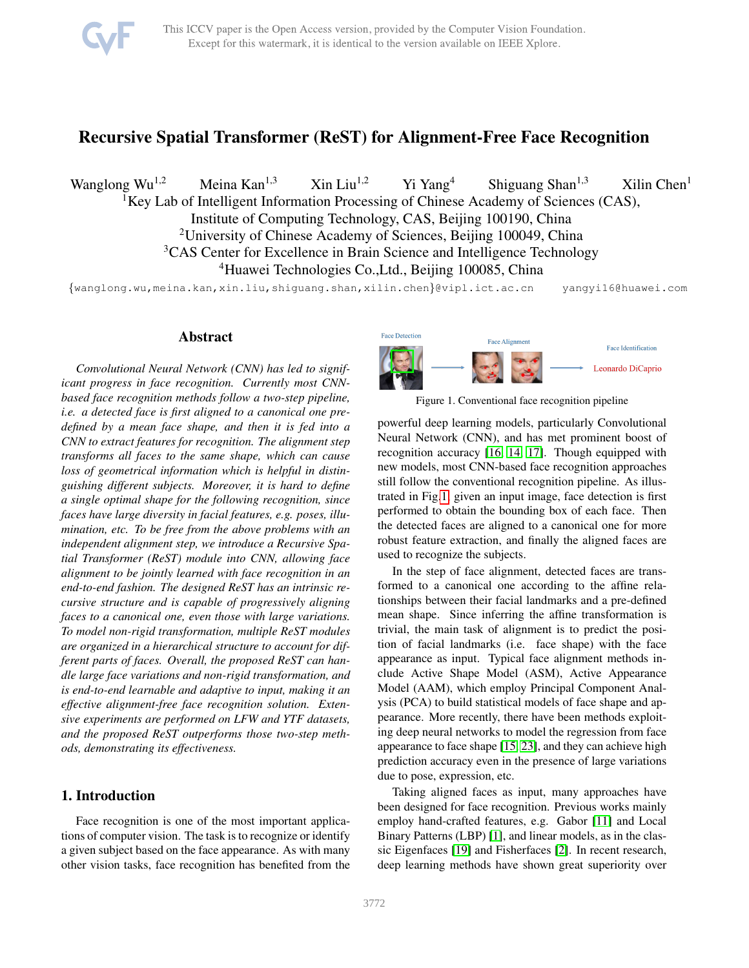

# Recursive Spatial Transformer (ReST) for Alignment-Free Face Recognition

Wanglong Wu<sup>1,2</sup> Meina Kan<sup>1,3</sup> Xin Liu<sup>1,2</sup> Yi Yang<sup>4</sup> Shiguang Shan<sup>1,3</sup> Xilin Chen<sup>1</sup> <sup>1</sup>Key Lab of Intelligent Information Processing of Chinese Academy of Sciences (CAS), Institute of Computing Technology, CAS, Beijing 100190, China <sup>2</sup>University of Chinese Academy of Sciences, Beijing 100049, China <sup>3</sup>CAS Center for Excellence in Brain Science and Intelligence Technology <sup>4</sup>Huawei Technologies Co.,Ltd., Beijing 100085, China

{wanglong.wu,meina.kan,xin.liu,shiguang.shan,xilin.chen}@vipl.ict.ac.cn yangyi16@huawei.com

### Abstract

*Convolutional Neural Network (CNN) has led to significant progress in face recognition. Currently most CNNbased face recognition methods follow a two-step pipeline, i.e. a detected face is first aligned to a canonical one predefined by a mean face shape, and then it is fed into a CNN to extract features for recognition. The alignment step transforms all faces to the same shape, which can cause loss of geometrical information which is helpful in distinguishing different subjects. Moreover, it is hard to define a single optimal shape for the following recognition, since faces have large diversity in facial features, e.g. poses, illumination, etc. To be free from the above problems with an independent alignment step, we introduce a Recursive Spatial Transformer (ReST) module into CNN, allowing face alignment to be jointly learned with face recognition in an end-to-end fashion. The designed ReST has an intrinsic recursive structure and is capable of progressively aligning faces to a canonical one, even those with large variations. To model non-rigid transformation, multiple ReST modules are organized in a hierarchical structure to account for different parts of faces. Overall, the proposed ReST can handle large face variations and non-rigid transformation, and is end-to-end learnable and adaptive to input, making it an effective alignment-free face recognition solution. Extensive experiments are performed on LFW and YTF datasets, and the proposed ReST outperforms those two-step methods, demonstrating its effectiveness.*

# 1. Introduction

Face recognition is one of the most important applications of computer vision. The task is to recognize or identify a given subject based on the face appearance. As with many other vision tasks, face recognition has benefited from the



Figure 1. Conventional face recognition pipeline

<span id="page-0-0"></span>powerful deep learning models, particularly Convolutional Neural Network (CNN), and has met prominent boost of recognition accuracy [\[16,](#page-7-0) [14,](#page-7-1) [17\]](#page-7-2). Though equipped with new models, most CNN-based face recognition approaches still follow the conventional recognition pipeline. As illustrated in Fig[.1,](#page-0-0) given an input image, face detection is first performed to obtain the bounding box of each face. Then the detected faces are aligned to a canonical one for more robust feature extraction, and finally the aligned faces are used to recognize the subjects.

In the step of face alignment, detected faces are transformed to a canonical one according to the affine relationships between their facial landmarks and a pre-defined mean shape. Since inferring the affine transformation is trivial, the main task of alignment is to predict the position of facial landmarks (i.e. face shape) with the face appearance as input. Typical face alignment methods include Active Shape Model (ASM), Active Appearance Model (AAM), which employ Principal Component Analysis (PCA) to build statistical models of face shape and appearance. More recently, there have been methods exploiting deep neural networks to model the regression from face appearance to face shape [\[15,](#page-7-3) [23\]](#page-8-0), and they can achieve high prediction accuracy even in the presence of large variations due to pose, expression, etc.

Taking aligned faces as input, many approaches have been designed for face recognition. Previous works mainly employ hand-crafted features, e.g. Gabor [\[11\]](#page-7-4) and Local Binary Patterns (LBP) [\[1\]](#page-7-5), and linear models, as in the classic Eigenfaces [\[19\]](#page-7-6) and Fisherfaces [\[2\]](#page-7-7). In recent research, deep learning methods have shown great superiority over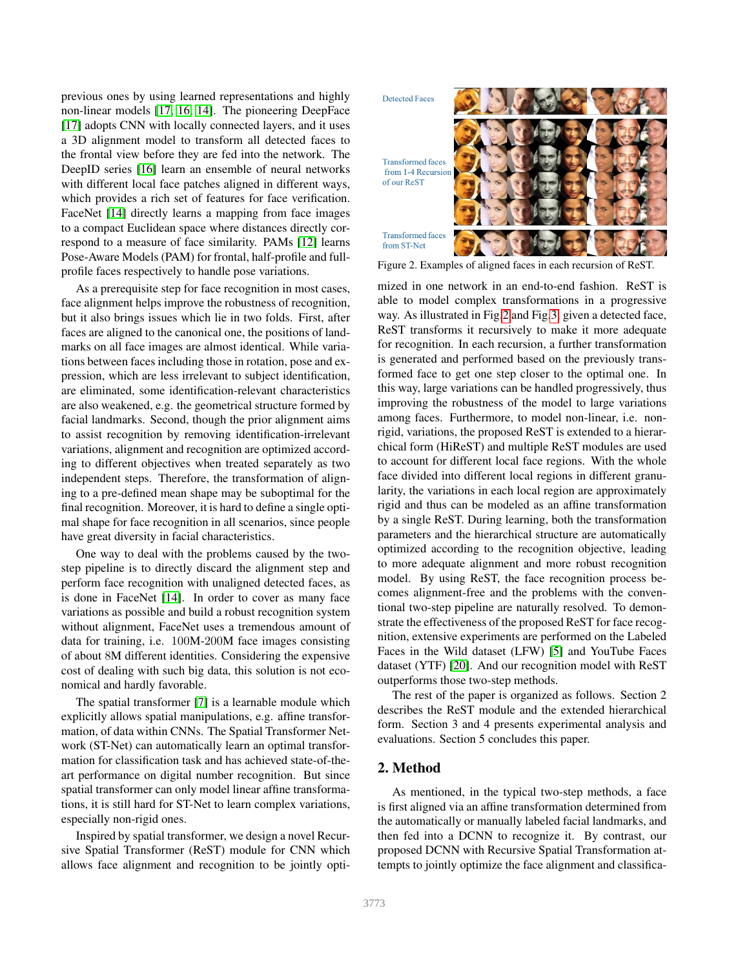previous ones by using learned representations and highly non-linear models [\[17,](#page-7-2) [16,](#page-7-0) [14\]](#page-7-1). The pioneering DeepFace [\[17\]](#page-7-2) adopts CNN with locally connected layers, and it uses a 3D alignment model to transform all detected faces to the frontal view before they are fed into the network. The DeepID series [\[16\]](#page-7-0) learn an ensemble of neural networks with different local face patches aligned in different ways, which provides a rich set of features for face verification. FaceNet [\[14\]](#page-7-1) directly learns a mapping from face images to a compact Euclidean space where distances directly correspond to a measure of face similarity. PAMs [\[12\]](#page-7-8) learns Pose-Aware Models (PAM) for frontal, half-profile and fullprofile faces respectively to handle pose variations.

As a prerequisite step for face recognition in most cases, face alignment helps improve the robustness of recognition, but it also brings issues which lie in two folds. First, after faces are aligned to the canonical one, the positions of landmarks on all face images are almost identical. While variations between faces including those in rotation, pose and expression, which are less irrelevant to subject identification, are eliminated, some identification-relevant characteristics are also weakened, e.g. the geometrical structure formed by facial landmarks. Second, though the prior alignment aims to assist recognition by removing identification-irrelevant variations, alignment and recognition are optimized according to different objectives when treated separately as two independent steps. Therefore, the transformation of aligning to a pre-defined mean shape may be suboptimal for the final recognition. Moreover, it is hard to define a single optimal shape for face recognition in all scenarios, since people have great diversity in facial characteristics.

One way to deal with the problems caused by the twostep pipeline is to directly discard the alignment step and perform face recognition with unaligned detected faces, as is done in FaceNet [\[14\]](#page-7-1). In order to cover as many face variations as possible and build a robust recognition system without alignment, FaceNet uses a tremendous amount of data for training, i.e. 100M-200M face images consisting of about 8M different identities. Considering the expensive cost of dealing with such big data, this solution is not economical and hardly favorable.

The spatial transformer [\[7\]](#page-7-9) is a learnable module which explicitly allows spatial manipulations, e.g. affine transformation, of data within CNNs. The Spatial Transformer Network (ST-Net) can automatically learn an optimal transformation for classification task and has achieved state-of-theart performance on digital number recognition. But since spatial transformer can only model linear affine transformations, it is still hard for ST-Net to learn complex variations, especially non-rigid ones.

Inspired by spatial transformer, we design a novel Recursive Spatial Transformer (ReST) module for CNN which allows face alignment and recognition to be jointly opti**Detected Faces** 

**Transformed faces** from 1-4 Recursion of our ReST



Figure 2. Examples of aligned faces in each recursion of ReST.

<span id="page-1-0"></span>mized in one network in an end-to-end fashion. ReST is able to model complex transformations in a progressive way. As illustrated in Fig[.2](#page-1-0) and Fig[.3,](#page-2-0) given a detected face, ReST transforms it recursively to make it more adequate for recognition. In each recursion, a further transformation is generated and performed based on the previously transformed face to get one step closer to the optimal one. In this way, large variations can be handled progressively, thus improving the robustness of the model to large variations among faces. Furthermore, to model non-linear, i.e. nonrigid, variations, the proposed ReST is extended to a hierarchical form (HiReST) and multiple ReST modules are used to account for different local face regions. With the whole face divided into different local regions in different granularity, the variations in each local region are approximately rigid and thus can be modeled as an affine transformation by a single ReST. During learning, both the transformation parameters and the hierarchical structure are automatically optimized according to the recognition objective, leading to more adequate alignment and more robust recognition model. By using ReST, the face recognition process becomes alignment-free and the problems with the conventional two-step pipeline are naturally resolved. To demonstrate the effectiveness of the proposed ReST for face recognition, extensive experiments are performed on the Labeled Faces in the Wild dataset (LFW) [\[5\]](#page-7-10) and YouTube Faces dataset (YTF) [\[20\]](#page-8-1). And our recognition model with ReST outperforms those two-step methods.

The rest of the paper is organized as follows. Section 2 describes the ReST module and the extended hierarchical form. Section 3 and 4 presents experimental analysis and evaluations. Section 5 concludes this paper.

# 2. Method

As mentioned, in the typical two-step methods, a face is first aligned via an affine transformation determined from the automatically or manually labeled facial landmarks, and then fed into a DCNN to recognize it. By contrast, our proposed DCNN with Recursive Spatial Transformation attempts to jointly optimize the face alignment and classifica-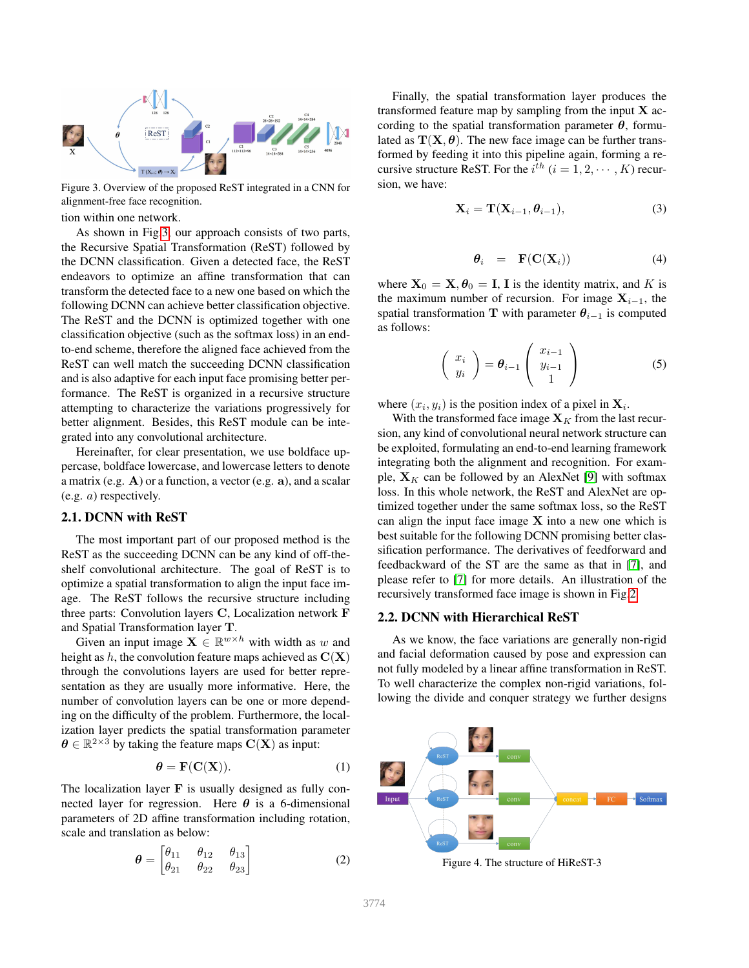

<span id="page-2-0"></span>Figure 3. Overview of the proposed ReST integrated in a CNN for alignment-free face recognition.

tion within one network.

As shown in Fig[.3,](#page-2-0) our approach consists of two parts, the Recursive Spatial Transformation (ReST) followed by the DCNN classification. Given a detected face, the ReST endeavors to optimize an affine transformation that can transform the detected face to a new one based on which the following DCNN can achieve better classification objective. The ReST and the DCNN is optimized together with one classification objective (such as the softmax loss) in an endto-end scheme, therefore the aligned face achieved from the ReST can well match the succeeding DCNN classification and is also adaptive for each input face promising better performance. The ReST is organized in a recursive structure attempting to characterize the variations progressively for better alignment. Besides, this ReST module can be integrated into any convolutional architecture.

Hereinafter, for clear presentation, we use boldface uppercase, boldface lowercase, and lowercase letters to denote a matrix (e.g.  $\bf{A}$ ) or a function, a vector (e.g.  $\bf{a}$ ), and a scalar (e.g. a) respectively.

# 2.1. DCNN with ReST

The most important part of our proposed method is the ReST as the succeeding DCNN can be any kind of off-theshelf convolutional architecture. The goal of ReST is to optimize a spatial transformation to align the input face image. The ReST follows the recursive structure including three parts: Convolution layers C, Localization network F and Spatial Transformation layer T.

Given an input image  $\mathbf{X} \in \mathbb{R}^{w \times h}$  with width as w and height as h, the convolution feature maps achieved as  $C(X)$ through the convolutions layers are used for better representation as they are usually more informative. Here, the number of convolution layers can be one or more depending on the difficulty of the problem. Furthermore, the localization layer predicts the spatial transformation parameter  $\theta \in \mathbb{R}^{2 \times 3}$  by taking the feature maps  $\mathbf{C}(\mathbf{X})$  as input:

$$
\theta = \mathbf{F}(\mathbf{C}(\mathbf{X})).\tag{1}
$$

The localization layer  $\bf{F}$  is usually designed as fully connected layer for regression. Here  $\theta$  is a 6-dimensional parameters of 2D affine transformation including rotation, scale and translation as below:

$$
\boldsymbol{\theta} = \begin{bmatrix} \theta_{11} & \theta_{12} & \theta_{13} \\ \theta_{21} & \theta_{22} & \theta_{23} \end{bmatrix} \tag{2}
$$

Finally, the spatial transformation layer produces the transformed feature map by sampling from the input  $X$  according to the spatial transformation parameter  $\theta$ , formulated as  $T(X, \theta)$ . The new face image can be further transformed by feeding it into this pipeline again, forming a recursive structure ReST. For the  $i^{th}$   $(i = 1, 2, \cdots, K)$  recursion, we have:

$$
\mathbf{X}_{i} = \mathbf{T}(\mathbf{X}_{i-1}, \boldsymbol{\theta}_{i-1}),\tag{3}
$$

$$
\boldsymbol{\theta}_i = \mathbf{F}(\mathbf{C}(\mathbf{X}_i)) \tag{4}
$$

where  $X_0 = X, \theta_0 = I$ , I is the identity matrix, and K is the maximum number of recursion. For image  $X_{i-1}$ , the spatial transformation T with parameter  $\theta_{i-1}$  is computed as follows:

$$
\left(\begin{array}{c} x_i \\ y_i \end{array}\right) = \theta_{i-1} \left(\begin{array}{c} x_{i-1} \\ y_{i-1} \\ 1 \end{array}\right) \tag{5}
$$

where  $(x_i, y_i)$  is the position index of a pixel in  $\mathbf{X}_i$ .

With the transformed face image  $X_K$  from the last recursion, any kind of convolutional neural network structure can be exploited, formulating an end-to-end learning framework integrating both the alignment and recognition. For example,  $X_K$  can be followed by an AlexNet [\[9\]](#page-7-11) with softmax loss. In this whole network, the ReST and AlexNet are optimized together under the same softmax loss, so the ReST can align the input face image  $X$  into a new one which is best suitable for the following DCNN promising better classification performance. The derivatives of feedforward and feedbackward of the ST are the same as that in [\[7\]](#page-7-9), and please refer to [\[7\]](#page-7-9) for more details. An illustration of the recursively transformed face image is shown in Fig[.2.](#page-1-0)

### 2.2. DCNN with Hierarchical ReST

As we know, the face variations are generally non-rigid and facial deformation caused by pose and expression can not fully modeled by a linear affine transformation in ReST. To well characterize the complex non-rigid variations, following the divide and conquer strategy we further designs



<span id="page-2-1"></span>Figure 4. The structure of HiReST-3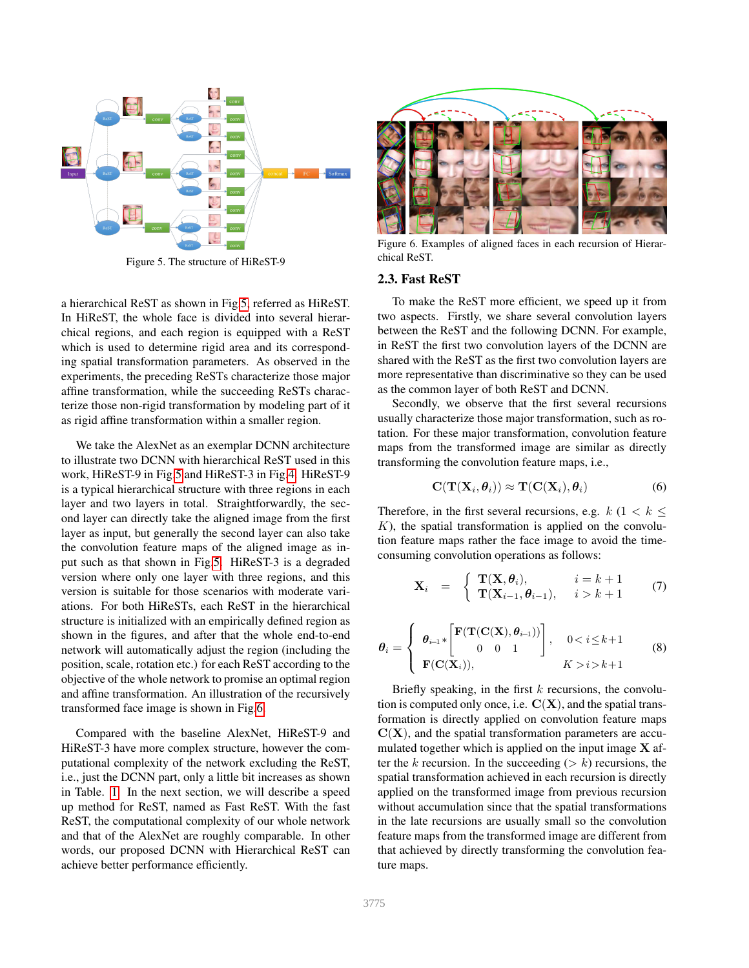

<span id="page-3-0"></span>Figure 5. The structure of HiReST-9

a hierarchical ReST as shown in Fig[.5,](#page-3-0) referred as HiReST. In HiReST, the whole face is divided into several hierarchical regions, and each region is equipped with a ReST which is used to determine rigid area and its corresponding spatial transformation parameters. As observed in the experiments, the preceding ReSTs characterize those major affine transformation, while the succeeding ReSTs characterize those non-rigid transformation by modeling part of it as rigid affine transformation within a smaller region.

We take the AlexNet as an exemplar DCNN architecture to illustrate two DCNN with hierarchical ReST used in this work, HiReST-9 in Fig[.5](#page-3-0) and HiReST-3 in Fig[.4.](#page-2-1) HiReST-9 is a typical hierarchical structure with three regions in each layer and two layers in total. Straightforwardly, the second layer can directly take the aligned image from the first layer as input, but generally the second layer can also take the convolution feature maps of the aligned image as input such as that shown in Fig[.5.](#page-3-0) HiReST-3 is a degraded version where only one layer with three regions, and this version is suitable for those scenarios with moderate variations. For both HiReSTs, each ReST in the hierarchical structure is initialized with an empirically defined region as shown in the figures, and after that the whole end-to-end network will automatically adjust the region (including the position, scale, rotation etc.) for each ReST according to the objective of the whole network to promise an optimal region and affine transformation. An illustration of the recursively transformed face image is shown in Fig[.6.](#page-3-1)

Compared with the baseline AlexNet, HiReST-9 and HiReST-3 have more complex structure, however the computational complexity of the network excluding the ReST, i.e., just the DCNN part, only a little bit increases as shown in Table. [1.](#page-4-0) In the next section, we will describe a speed up method for ReST, named as Fast ReST. With the fast ReST, the computational complexity of our whole network and that of the AlexNet are roughly comparable. In other words, our proposed DCNN with Hierarchical ReST can achieve better performance efficiently.



Figure 6. Examples of aligned faces in each recursion of Hierarchical ReST.

### <span id="page-3-2"></span><span id="page-3-1"></span>2.3. Fast ReST

To make the ReST more efficient, we speed up it from two aspects. Firstly, we share several convolution layers between the ReST and the following DCNN. For example, in ReST the first two convolution layers of the DCNN are shared with the ReST as the first two convolution layers are more representative than discriminative so they can be used as the common layer of both ReST and DCNN.

Secondly, we observe that the first several recursions usually characterize those major transformation, such as rotation. For these major transformation, convolution feature maps from the transformed image are similar as directly transforming the convolution feature maps, i.e.,

$$
\mathbf{C}(\mathbf{T}(\mathbf{X}_i, \boldsymbol{\theta}_i)) \approx \mathbf{T}(\mathbf{C}(\mathbf{X}_i), \boldsymbol{\theta}_i) \tag{6}
$$

Therefore, in the first several recursions, e.g.  $k$  (1 <  $k \leq$  $K$ ), the spatial transformation is applied on the convolution feature maps rather the face image to avoid the timeconsuming convolution operations as follows:

$$
\mathbf{X}_{i} = \begin{cases} \mathbf{T}(\mathbf{X}, \boldsymbol{\theta}_{i}), & i = k+1 \\ \mathbf{T}(\mathbf{X}_{i-1}, \boldsymbol{\theta}_{i-1}), & i > k+1 \end{cases}
$$
 (7)

$$
\theta_i = \begin{cases} \theta_{i-1} * \begin{bmatrix} \mathbf{F}(\mathbf{T}(\mathbf{C}(\mathbf{X}), \theta_{i-1})) \\ 0 & 0 \end{bmatrix}, & 0 < i \leq k+1 \\ \mathbf{F}(\mathbf{C}(\mathbf{X}_i)), & K > i > k+1 \end{cases} \tag{8}
$$

Briefly speaking, in the first  $k$  recursions, the convolution is computed only once, i.e.  $C(X)$ , and the spatial transformation is directly applied on convolution feature maps  $C(X)$ , and the spatial transformation parameters are accumulated together which is applied on the input image  $X$  after the k recursion. In the succeeding ( $> k$ ) recursions, the spatial transformation achieved in each recursion is directly applied on the transformed image from previous recursion without accumulation since that the spatial transformations in the late recursions are usually small so the convolution feature maps from the transformed image are different from that achieved by directly transforming the convolution feature maps.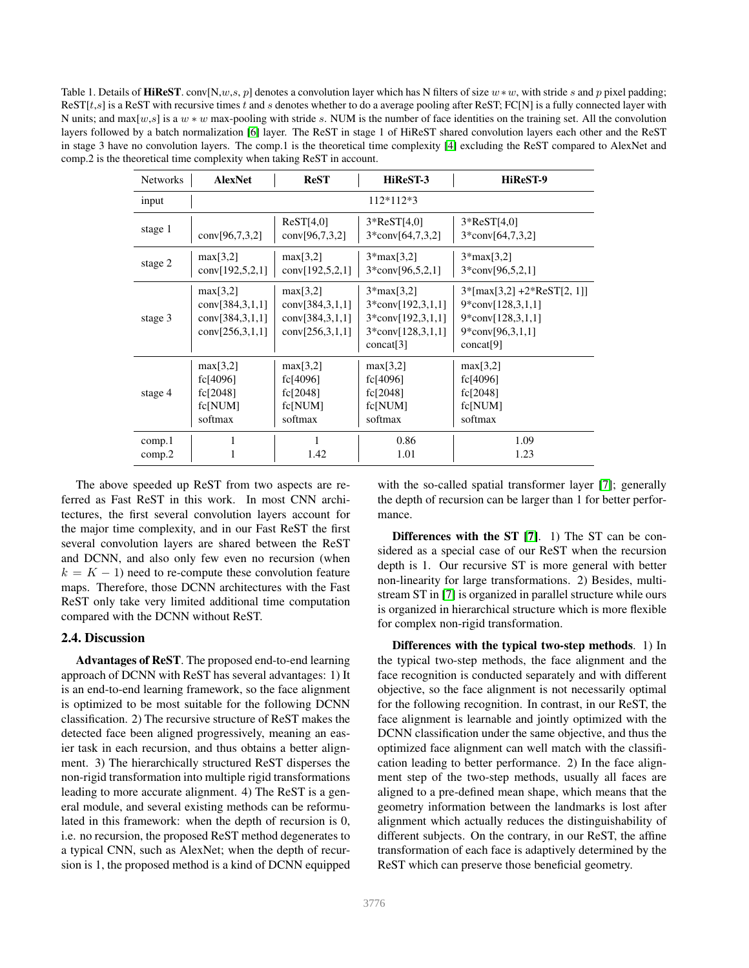<span id="page-4-0"></span>Table 1. Details of HiReST. conv[N,w,s, p] denotes a convolution layer which has N filters of size  $w*w$ , with stride s and p pixel padding; ReST[t,s] is a ReST with recursive times t and s denotes whether to do a average pooling after ReST; FC[N] is a fully connected layer with N units; and  $max[w,s]$  is a  $w * w$  max-pooling with stride s. NUM is the number of face identities on the training set. All the convolution layers followed by a batch normalization [\[6\]](#page-7-12) layer. The ReST in stage 1 of HiReST shared convolution layers each other and the ReST in stage 3 have no convolution layers. The comp.1 is the theoretical time complexity [\[4\]](#page-7-13) excluding the ReST compared to AlexNet and comp.2 is the theoretical time complexity when taking ReST in account.

| <b>Networks</b>  | <b>AlexNet</b>                                                          | <b>ReST</b>                                                          | HiReST-3                                                                                     | HiReST-9                                                                                                            |
|------------------|-------------------------------------------------------------------------|----------------------------------------------------------------------|----------------------------------------------------------------------------------------------|---------------------------------------------------------------------------------------------------------------------|
| input            |                                                                         |                                                                      | $112*112*3$                                                                                  |                                                                                                                     |
| stage 1          | conv[96,7,3,2]                                                          | $\text{ReST}[4,0]$<br>conv[96,7,3,2]                                 | $3*ReST[4,0]$<br>$3*conv[64,7,3,2]$                                                          | $3*ResT[4,0]$<br>3*conv[64,7,3,2]                                                                                   |
| stage 2          | max[3,2]<br>conv[192, 5, 2, 1]                                          | max[3,2]<br>conv[192, 5, 2, 1]                                       | $3*max[3,2]$<br>$3*conv[96,5,2,1]$                                                           | $3*max[3,2]$<br>3*conv[96,5,2,1]                                                                                    |
| stage 3          | max[3,2]<br>conv[384, 3, 1, 1]<br>conv[384, 3, 1, 1]<br>conv[256,3,1,1] | max[3,2]<br>conv[384,3,1,1]<br>conv[384, 3, 1, 1]<br>conv[256,3,1,1] | $3*max[3,2]$<br>3*conv[192,3,1,1]<br>$3*conv[192,3,1,1]$<br>$3*conv[128,3,1,1]$<br>concat[3] | $3*$ [max[3,2] +2*ReST[2, 1]]<br>$9 * conv[128, 3, 1, 1]$<br>$9*conv[128,3,1,1]$<br>$9*conv[96,3,1,1]$<br>concat[9] |
| stage 4          | max[3,2]<br>fc[4096]<br>fc[2048]<br>fc[NUM]<br>softmax                  | max[3,2]<br>fc[4096]<br>fc[2048]<br>fc[NUM]<br>softmax               | max[3,2]<br>fc[4096]<br>fc[2048]<br>fc[NUM]<br>softmax                                       | max[3,2]<br>fc[4096]<br>fc[2048]<br>fc[NUM]<br>softmax                                                              |
| comp.1<br>comp.2 | 1                                                                       | 1<br>1.42                                                            | 0.86<br>1.01                                                                                 | 1.09<br>1.23                                                                                                        |

The above speeded up ReST from two aspects are referred as Fast ReST in this work. In most CNN architectures, the first several convolution layers account for the major time complexity, and in our Fast ReST the first several convolution layers are shared between the ReST and DCNN, and also only few even no recursion (when  $k = K - 1$ ) need to re-compute these convolution feature maps. Therefore, those DCNN architectures with the Fast ReST only take very limited additional time computation compared with the DCNN without ReST.

#### 2.4. Discussion

Advantages of ReST. The proposed end-to-end learning approach of DCNN with ReST has several advantages: 1) It is an end-to-end learning framework, so the face alignment is optimized to be most suitable for the following DCNN classification. 2) The recursive structure of ReST makes the detected face been aligned progressively, meaning an easier task in each recursion, and thus obtains a better alignment. 3) The hierarchically structured ReST disperses the non-rigid transformation into multiple rigid transformations leading to more accurate alignment. 4) The ReST is a general module, and several existing methods can be reformulated in this framework: when the depth of recursion is 0, i.e. no recursion, the proposed ReST method degenerates to a typical CNN, such as AlexNet; when the depth of recursion is 1, the proposed method is a kind of DCNN equipped

with the so-called spatial transformer layer [\[7\]](#page-7-9); generally the depth of recursion can be larger than 1 for better performance.

Differences with the ST [\[7\]](#page-7-9). 1) The ST can be considered as a special case of our ReST when the recursion depth is 1. Our recursive ST is more general with better non-linearity for large transformations. 2) Besides, multistream ST in [\[7\]](#page-7-9) is organized in parallel structure while ours is organized in hierarchical structure which is more flexible for complex non-rigid transformation.

Differences with the typical two-step methods. 1) In the typical two-step methods, the face alignment and the face recognition is conducted separately and with different objective, so the face alignment is not necessarily optimal for the following recognition. In contrast, in our ReST, the face alignment is learnable and jointly optimized with the DCNN classification under the same objective, and thus the optimized face alignment can well match with the classification leading to better performance. 2) In the face alignment step of the two-step methods, usually all faces are aligned to a pre-defined mean shape, which means that the geometry information between the landmarks is lost after alignment which actually reduces the distinguishability of different subjects. On the contrary, in our ReST, the affine transformation of each face is adaptively determined by the ReST which can preserve those beneficial geometry.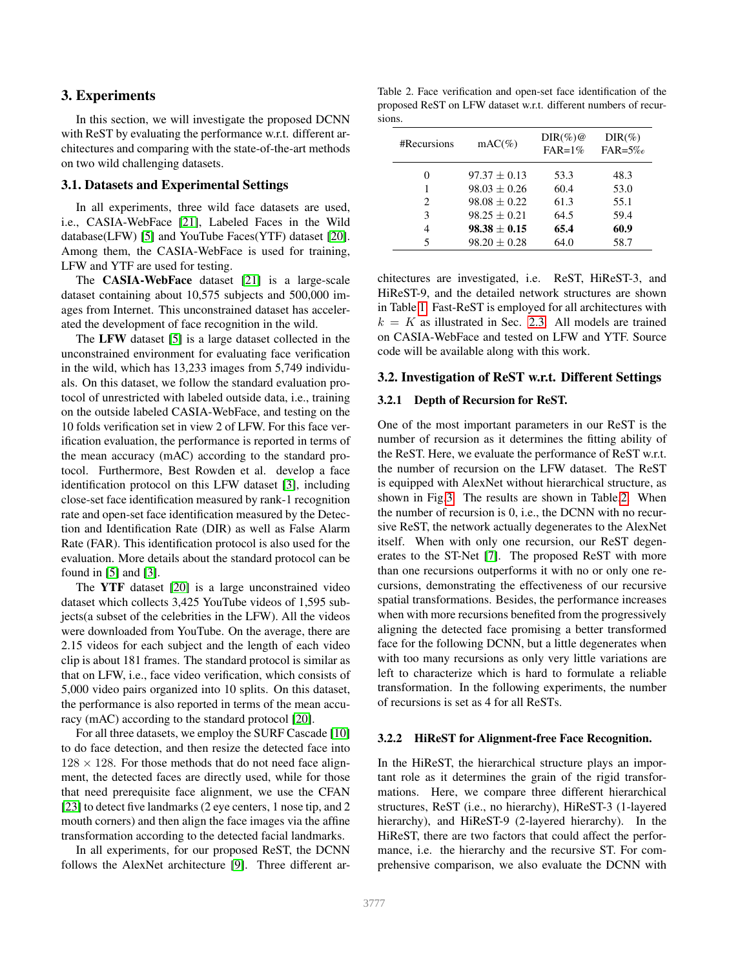# 3. Experiments

In this section, we will investigate the proposed DCNN with ReST by evaluating the performance w.r.t. different architectures and comparing with the state-of-the-art methods on two wild challenging datasets.

#### 3.1. Datasets and Experimental Settings

In all experiments, three wild face datasets are used, i.e., CASIA-WebFace [\[21\]](#page-8-2), Labeled Faces in the Wild database(LFW) [\[5\]](#page-7-10) and YouTube Faces(YTF) dataset [\[20\]](#page-8-1). Among them, the CASIA-WebFace is used for training, LFW and YTF are used for testing.

The CASIA-WebFace dataset [\[21\]](#page-8-2) is a large-scale dataset containing about 10,575 subjects and 500,000 images from Internet. This unconstrained dataset has accelerated the development of face recognition in the wild.

The LFW dataset [\[5\]](#page-7-10) is a large dataset collected in the unconstrained environment for evaluating face verification in the wild, which has 13,233 images from 5,749 individuals. On this dataset, we follow the standard evaluation protocol of unrestricted with labeled outside data, i.e., training on the outside labeled CASIA-WebFace, and testing on the 10 folds verification set in view 2 of LFW. For this face verification evaluation, the performance is reported in terms of the mean accuracy (mAC) according to the standard protocol. Furthermore, Best Rowden et al. develop a face identification protocol on this LFW dataset [\[3\]](#page-7-14), including close-set face identification measured by rank-1 recognition rate and open-set face identification measured by the Detection and Identification Rate (DIR) as well as False Alarm Rate (FAR). This identification protocol is also used for the evaluation. More details about the standard protocol can be found in [\[5\]](#page-7-10) and [\[3\]](#page-7-14).

The YTF dataset [\[20\]](#page-8-1) is a large unconstrained video dataset which collects 3,425 YouTube videos of 1,595 subjects(a subset of the celebrities in the LFW). All the videos were downloaded from YouTube. On the average, there are 2.15 videos for each subject and the length of each video clip is about 181 frames. The standard protocol is similar as that on LFW, i.e., face video verification, which consists of 5,000 video pairs organized into 10 splits. On this dataset, the performance is also reported in terms of the mean accuracy (mAC) according to the standard protocol [\[20\]](#page-8-1).

For all three datasets, we employ the SURF Cascade [\[10\]](#page-7-15) to do face detection, and then resize the detected face into  $128 \times 128$ . For those methods that do not need face alignment, the detected faces are directly used, while for those that need prerequisite face alignment, we use the CFAN [\[23\]](#page-8-0) to detect five landmarks (2 eye centers, 1 nose tip, and 2 mouth corners) and then align the face images via the affine transformation according to the detected facial landmarks.

In all experiments, for our proposed ReST, the DCNN follows the AlexNet architecture [\[9\]](#page-7-11). Three different ar-

<span id="page-5-0"></span>Table 2. Face verification and open-set face identification of the proposed ReST on LFW dataset w.r.t. different numbers of recursions.

| #Recursions           | $mAC(\%)$        | $DIR(\%)@$<br>$FAR=1%$ | $DIR(\%)$<br>$FAR = 5\%$ |
|-----------------------|------------------|------------------------|--------------------------|
|                       | $97.37 \pm 0.13$ | 53.3                   | 48.3                     |
|                       | $98.03 + 0.26$   | 60.4                   | 53.0                     |
| $\mathcal{D}_{\cdot}$ | $98.08 \pm 0.22$ | 61.3                   | 55.1                     |
| 3                     | $98.25 + 0.21$   | 64.5                   | 59.4                     |
| 4                     | $98.38 + 0.15$   | 65.4                   | 60.9                     |
| 5                     | $98.20 \pm 0.28$ | 64.0                   | 58.7                     |

chitectures are investigated, i.e. ReST, HiReST-3, and HiReST-9, and the detailed network structures are shown in Table [1.](#page-4-0) Fast-ReST is employed for all architectures with  $k = K$  as illustrated in Sec. [2.3.](#page-3-2) All models are trained on CASIA-WebFace and tested on LFW and YTF. Source code will be available along with this work.

# 3.2. Investigation of ReST w.r.t. Different Settings

#### 3.2.1 Depth of Recursion for ReST.

One of the most important parameters in our ReST is the number of recursion as it determines the fitting ability of the ReST. Here, we evaluate the performance of ReST w.r.t. the number of recursion on the LFW dataset. The ReST is equipped with AlexNet without hierarchical structure, as shown in Fig[.3.](#page-2-0) The results are shown in Table[.2.](#page-5-0) When the number of recursion is 0, i.e., the DCNN with no recursive ReST, the network actually degenerates to the AlexNet itself. When with only one recursion, our ReST degenerates to the ST-Net [\[7\]](#page-7-9). The proposed ReST with more than one recursions outperforms it with no or only one recursions, demonstrating the effectiveness of our recursive spatial transformations. Besides, the performance increases when with more recursions benefited from the progressively aligning the detected face promising a better transformed face for the following DCNN, but a little degenerates when with too many recursions as only very little variations are left to characterize which is hard to formulate a reliable transformation. In the following experiments, the number of recursions is set as 4 for all ReSTs.

#### 3.2.2 HiReST for Alignment-free Face Recognition.

In the HiReST, the hierarchical structure plays an important role as it determines the grain of the rigid transformations. Here, we compare three different hierarchical structures, ReST (i.e., no hierarchy), HiReST-3 (1-layered hierarchy), and HiReST-9 (2-layered hierarchy). In the HiReST, there are two factors that could affect the performance, i.e. the hierarchy and the recursive ST. For comprehensive comparison, we also evaluate the DCNN with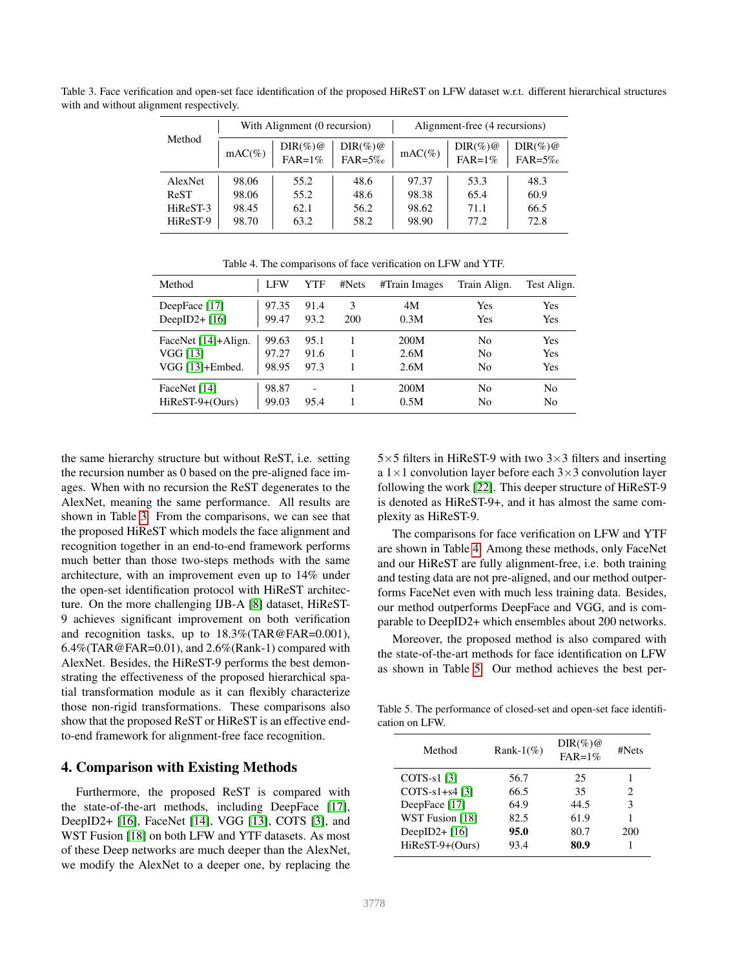<span id="page-6-0"></span>Table 3. Face verification and open-set face identification of the proposed HiReST on LFW dataset w.r.t. different hierarchical structures with and without alignment respectively.

| Method   | With Alignment (0 recursion) |                        |                            | Alignment-free (4 recursions) |                        |                           |
|----------|------------------------------|------------------------|----------------------------|-------------------------------|------------------------|---------------------------|
|          | $mAC(\%)$                    | $DIR(\%)@$<br>$FAR=1%$ | $DIR(\%)@$<br>$FAR = 5\%o$ | $mAC(\%)$                     | $DIR(\%)@$<br>$FAR=1%$ | $DIR(\%)@$<br>$FAR = 5\%$ |
| AlexNet  | 98.06                        | 55.2                   | 48.6                       | 97.37                         | 53.3                   | 48.3                      |
| ReST     | 98.06                        | 55.2                   | 48.6                       | 98.38                         | 65.4                   | 60.9                      |
| HiReST-3 | 98.45                        | 62.1                   | 56.2                       | 98.62                         | 71.1                   | 66.5                      |
| HiReST-9 | 98.70                        | 63.2                   | 58.2                       | 98.90                         | 77.2                   | 72.8                      |

Method LFW YTF #Nets #Train Images Train Align. Test Align.

<span id="page-6-1"></span>Table 4. The comparisons of face verification on LFW and YTF.

| method              | LF W  | 1 I F | H   | #Irain Images | Train Align.   | rest Align.    |
|---------------------|-------|-------|-----|---------------|----------------|----------------|
| DeepFace [17]       | 97.35 | 91.4  | 3   | 4M            | Yes            | Yes            |
| DeepID2+ $[16]$     | 99.47 | 93.2  | 200 | 0.3M          | <b>Yes</b>     | Yes            |
| FaceNet [14]+Align. | 99.63 | 95.1  |     | 200M          | N <sub>0</sub> | <b>Yes</b>     |
| VGG [13]            | 97.27 | 91.6  |     | 2.6M          | N <sub>0</sub> | <b>Yes</b>     |
| VGG [13]+Embed.     | 98.95 | 97.3  |     | 2.6M          | No             | Yes            |
| FaceNet [14]        | 98.87 |       |     | 200M          | N <sub>0</sub> | N <sub>0</sub> |
| $HiResT-9+(Ours)$   | 99.03 | 95.4  |     | 0.5M          | No             | No             |
|                     |       |       |     |               |                |                |

the same hierarchy structure but without ReST, i.e. setting the recursion number as 0 based on the pre-aligned face images. When with no recursion the ReST degenerates to the AlexNet, meaning the same performance. All results are shown in Table [3.](#page-6-0) From the comparisons, we can see that the proposed HiReST which models the face alignment and recognition together in an end-to-end framework performs much better than those two-steps methods with the same architecture, with an improvement even up to 14% under the open-set identification protocol with HiReST architecture. On the more challenging IJB-A [\[8\]](#page-7-17) dataset, HiReST-9 achieves significant improvement on both verification and recognition tasks, up to 18.3%(TAR@FAR=0.001),  $6.4\%$ (TAR@FAR=0.01), and  $2.6\%$ (Rank-1) compared with AlexNet. Besides, the HiReST-9 performs the best demonstrating the effectiveness of the proposed hierarchical spatial transformation module as it can flexibly characterize those non-rigid transformations. These comparisons also show that the proposed ReST or HiReST is an effective endto-end framework for alignment-free face recognition.

# 4. Comparison with Existing Methods

Furthermore, the proposed ReST is compared with the state-of-the-art methods, including DeepFace [\[17\]](#page-7-2), DeepID2+ [\[16\]](#page-7-0), FaceNet [\[14\]](#page-7-1), VGG [\[13\]](#page-7-16), COTS [\[3\]](#page-7-14), and WST Fusion [\[18\]](#page-7-18) on both LFW and YTF datasets. As most of these Deep networks are much deeper than the AlexNet, we modify the AlexNet to a deeper one, by replacing the  $5\times 5$  filters in HiReST-9 with two  $3\times 3$  filters and inserting a  $1 \times 1$  convolution layer before each  $3 \times 3$  convolution layer following the work [\[22\]](#page-8-3). This deeper structure of HiReST-9 is denoted as HiReST-9+, and it has almost the same complexity as HiReST-9.

The comparisons for face verification on LFW and YTF are shown in Table [4.](#page-6-1) Among these methods, only FaceNet and our HiReST are fully alignment-free, i.e. both training and testing data are not pre-aligned, and our method outperforms FaceNet even with much less training data. Besides, our method outperforms DeepFace and VGG, and is comparable to DeepID2+ which ensembles about 200 networks.

Moreover, the proposed method is also compared with the state-of-the-art methods for face identification on LFW as shown in Table [5.](#page-6-2) Our method achieves the best per-

<span id="page-6-2"></span>Table 5. The performance of closed-set and open-set face identification on LFW.

| Method          | Rank- $1\%$ | $DIR(\%)@$<br>$FAR=1%$ | #Nets                 |
|-----------------|-------------|------------------------|-----------------------|
| $COTS-s1$ [3]   | 56.7        | 25                     |                       |
| $COTS-s1+s4[3]$ | 66.5        | 35                     | $\mathcal{D}_{\cdot}$ |
| DeepFace [17]   | 64.9        | 44.5                   | 3                     |
| WST Fusion [18] | 82.5        | 61.9                   |                       |
| DeepID2+ $[16]$ | 95.0        | 80.7                   | 200                   |
| HiReST-9+(Ours) | 93.4        | 80.9                   |                       |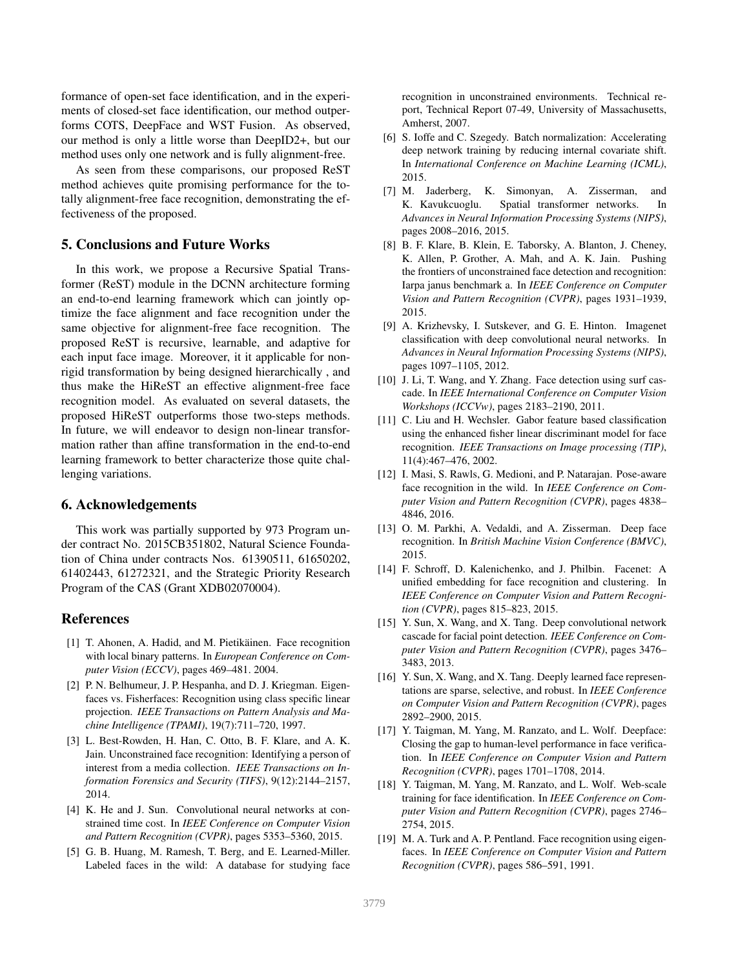formance of open-set face identification, and in the experiments of closed-set face identification, our method outperforms COTS, DeepFace and WST Fusion. As observed, our method is only a little worse than DeepID2+, but our method uses only one network and is fully alignment-free.

As seen from these comparisons, our proposed ReST method achieves quite promising performance for the totally alignment-free face recognition, demonstrating the effectiveness of the proposed.

# 5. Conclusions and Future Works

In this work, we propose a Recursive Spatial Transformer (ReST) module in the DCNN architecture forming an end-to-end learning framework which can jointly optimize the face alignment and face recognition under the same objective for alignment-free face recognition. The proposed ReST is recursive, learnable, and adaptive for each input face image. Moreover, it it applicable for nonrigid transformation by being designed hierarchically , and thus make the HiReST an effective alignment-free face recognition model. As evaluated on several datasets, the proposed HiReST outperforms those two-steps methods. In future, we will endeavor to design non-linear transformation rather than affine transformation in the end-to-end learning framework to better characterize those quite challenging variations.

## 6. Acknowledgements

This work was partially supported by 973 Program under contract No. 2015CB351802, Natural Science Foundation of China under contracts Nos. 61390511, 61650202, 61402443, 61272321, and the Strategic Priority Research Program of the CAS (Grant XDB02070004).

### References

- <span id="page-7-5"></span>[1] T. Ahonen, A. Hadid, and M. Pietikäinen. Face recognition with local binary patterns. In *European Conference on Computer Vision (ECCV)*, pages 469–481. 2004.
- <span id="page-7-7"></span>[2] P. N. Belhumeur, J. P. Hespanha, and D. J. Kriegman. Eigenfaces vs. Fisherfaces: Recognition using class specific linear projection. *IEEE Transactions on Pattern Analysis and Machine Intelligence (TPAMI)*, 19(7):711–720, 1997.
- <span id="page-7-14"></span>[3] L. Best-Rowden, H. Han, C. Otto, B. F. Klare, and A. K. Jain. Unconstrained face recognition: Identifying a person of interest from a media collection. *IEEE Transactions on Information Forensics and Security (TIFS)*, 9(12):2144–2157, 2014.
- <span id="page-7-13"></span>[4] K. He and J. Sun. Convolutional neural networks at constrained time cost. In *IEEE Conference on Computer Vision and Pattern Recognition (CVPR)*, pages 5353–5360, 2015.
- <span id="page-7-10"></span>[5] G. B. Huang, M. Ramesh, T. Berg, and E. Learned-Miller. Labeled faces in the wild: A database for studying face

recognition in unconstrained environments. Technical report, Technical Report 07-49, University of Massachusetts, Amherst, 2007.

- <span id="page-7-12"></span>[6] S. Ioffe and C. Szegedy. Batch normalization: Accelerating deep network training by reducing internal covariate shift. In *International Conference on Machine Learning (ICML)*, 2015.
- <span id="page-7-9"></span>[7] M. Jaderberg, K. Simonyan, A. Zisserman, and K. Kavukcuoglu. Spatial transformer networks. In *Advances in Neural Information Processing Systems (NIPS)*, pages 2008–2016, 2015.
- <span id="page-7-17"></span>[8] B. F. Klare, B. Klein, E. Taborsky, A. Blanton, J. Cheney, K. Allen, P. Grother, A. Mah, and A. K. Jain. Pushing the frontiers of unconstrained face detection and recognition: Iarpa janus benchmark a. In *IEEE Conference on Computer Vision and Pattern Recognition (CVPR)*, pages 1931–1939, 2015.
- <span id="page-7-11"></span>[9] A. Krizhevsky, I. Sutskever, and G. E. Hinton. Imagenet classification with deep convolutional neural networks. In *Advances in Neural Information Processing Systems (NIPS)*, pages 1097–1105, 2012.
- <span id="page-7-15"></span>[10] J. Li, T. Wang, and Y. Zhang. Face detection using surf cascade. In *IEEE International Conference on Computer Vision Workshops (ICCVw)*, pages 2183–2190, 2011.
- <span id="page-7-4"></span>[11] C. Liu and H. Wechsler. Gabor feature based classification using the enhanced fisher linear discriminant model for face recognition. *IEEE Transactions on Image processing (TIP)*, 11(4):467–476, 2002.
- <span id="page-7-8"></span>[12] I. Masi, S. Rawls, G. Medioni, and P. Natarajan. Pose-aware face recognition in the wild. In *IEEE Conference on Computer Vision and Pattern Recognition (CVPR)*, pages 4838– 4846, 2016.
- <span id="page-7-16"></span>[13] O. M. Parkhi, A. Vedaldi, and A. Zisserman. Deep face recognition. In *British Machine Vision Conference (BMVC)*, 2015.
- <span id="page-7-1"></span>[14] F. Schroff, D. Kalenichenko, and J. Philbin. Facenet: A unified embedding for face recognition and clustering. In *IEEE Conference on Computer Vision and Pattern Recognition (CVPR)*, pages 815–823, 2015.
- <span id="page-7-3"></span>[15] Y. Sun, X. Wang, and X. Tang. Deep convolutional network cascade for facial point detection. *IEEE Conference on Computer Vision and Pattern Recognition (CVPR)*, pages 3476– 3483, 2013.
- <span id="page-7-0"></span>[16] Y. Sun, X. Wang, and X. Tang. Deeply learned face representations are sparse, selective, and robust. In *IEEE Conference on Computer Vision and Pattern Recognition (CVPR)*, pages 2892–2900, 2015.
- <span id="page-7-2"></span>[17] Y. Taigman, M. Yang, M. Ranzato, and L. Wolf. Deepface: Closing the gap to human-level performance in face verification. In *IEEE Conference on Computer Vision and Pattern Recognition (CVPR)*, pages 1701–1708, 2014.
- <span id="page-7-18"></span>[18] Y. Taigman, M. Yang, M. Ranzato, and L. Wolf. Web-scale training for face identification. In *IEEE Conference on Computer Vision and Pattern Recognition (CVPR)*, pages 2746– 2754, 2015.
- <span id="page-7-6"></span>[19] M. A. Turk and A. P. Pentland. Face recognition using eigenfaces. In *IEEE Conference on Computer Vision and Pattern Recognition (CVPR)*, pages 586–591, 1991.